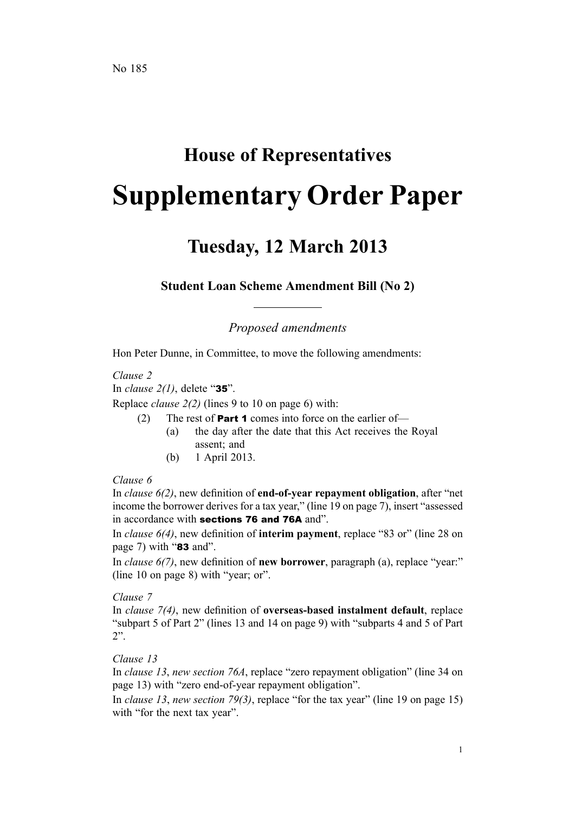# **House of Representatives Supplementary Order Paper**

# **Tuesday, 12 March 2013**

**Student Loan Scheme Amendment Bill (No 2)**

*Proposed amendments*

Hon Peter Dunne, in Committee, to move the following amendments:

*Clause 2*

In *clause 2(1)*, delete "35".

Replace *clause 2(2)* (lines 9 to 10 on page 6) with:

- (2) The rest of **Part 1** comes into force on the earlier of-
	- (a) the day after the date that this Act receives the Royal assent; and
	- (b) 1 April 2013.

# *Clause 6*

In *clause 6(2)*, new definition of **end-of-year repaymen<sup>t</sup> obligation**, after "net income the borrower derives for <sup>a</sup> tax year," (line 19 on page 7), insert "assessed in accordance with sections 76 and 76A and".

In *clause 6(4)*, new definition of **interim payment**, replace "83 or" (line 28 on page 7) with "83 and".

In *clause 6(7)*, new definition of **new borrower**, paragraph (a), replace "year:" (line 10 on page 8) with "year; or".

## *Clause 7*

In *clause 7(4)*, new definition of **overseas-based instalment default**, replace "subpart 5 of Part 2" (lines 13 and 14 on page 9) with "subparts 4 and 5 of Part 2".

## *Clause 13*

In *clause 13*, *new section 76A*, replace "zero repaymen<sup>t</sup> obligation" (line 34 on page 13) with "zero end-of-year repaymen<sup>t</sup> obligation".

In *clause 13*, *new section 79(3)*, replace "for the tax year" (line 19 on page 15) with "for the next tax year".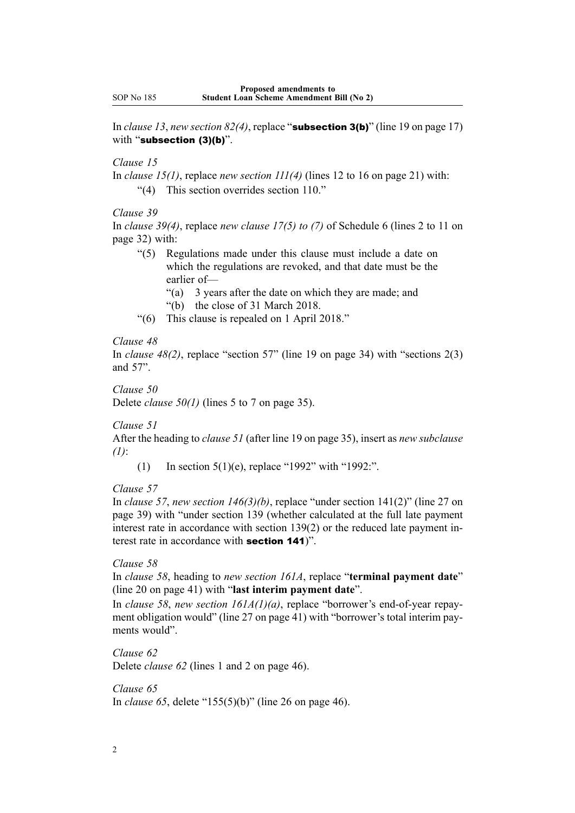In *clause* 13, *new section*  $82(4)$ , replace "**subsection 3(b)**" (line 19 on page 17) with "subsection (3)(b)".

# *Clause 15*

In *clause 15(1)*, replace *new section 111(4)* (lines 12 to 16 on page 21) with: "(4) This section overrides section 110."

*Clause 39*

In *clause 39(4)*, replace *new clause 17(5) to (7)* of Schedule 6 (lines 2 to 11 on page 32) with:

"(5) Regulations made under this clause must include <sup>a</sup> date on which the regulations are revoked, and that date must be the earlier of—

"(a) 3 years after the date on which they are made; and "(b) the close of 31 March 2018.

"(6) This clause is repealed on 1 April 2018."

#### *Clause 48*

In *clause 48(2)*, replace "section 57" (line 19 on page 34) with "sections 2(3) and 57".

*Clause 50*

Delete *clause 50(1)* (lines 5 to 7 on page 35).

*Clause 51*

After the heading to *clause 51* (after line 19 on page 35), insert as *new subclause (1)*:

(1) In section 5(1)(e), replace "1992" with "1992:".

#### *Clause 57*

In *clause 57*, *new section 146(3)(b)*, replace "under section 141(2)" (line 27 on page 39) with "under section 139 (whether calculated at the full late paymen<sup>t</sup> interest rate in accordance with section 139(2) or the reduced late paymen<sup>t</sup> interest rate in accordance with section <sup>141</sup>)".

#### *Clause 58*

In *clause 58*, heading to *new section 161A*, replace "**terminal paymen<sup>t</sup> date**" (line 20 on page 41) with "**last interim paymen<sup>t</sup> date**".

In *clause 58*, *new section 161A(1)(a)*, replace "borrower's end-of-year repayment obligation would" (line 27 on page 41) with "borrower's total interim payments would".

*Clause 62* Delete *clause 62* (lines 1 and 2 on page 46).

*Clause 65* In *clause 65*, delete "155(5)(b)" (line 26 on page 46).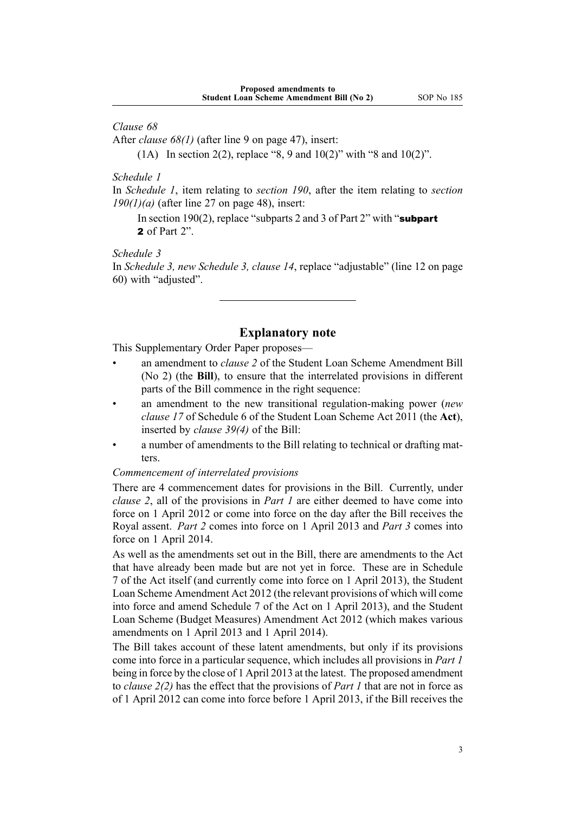*Clause 68*

After *clause 68(1)* (after line 9 on page 47), insert:

(1A) In section 2(2), replace "8, 9 and  $10(2)$ " with "8 and  $10(2)$ ".

*Schedule 1*

In *Schedule 1*, item relating to *section 190*, after the item relating to *section 190(1)(a)* (after line 27 on page 48), insert:

In section 190(2), replace "subparts 2 and 3 of Part 2" with "subpart" 2 of Part 2"

*Schedule 3*

In *Schedule 3, new Schedule 3, clause 14*, replace "adjustable" (line 12 on page 60) with "adjusted".

# **Explanatory note**

This Supplementary Order Paper proposes—

- • an amendment to *clause 2* of the Student Loan Scheme Amendment Bill (No 2) (the **Bill**), to ensure that the interrelated provisions in different parts of the Bill commence in the right sequence:
- • an amendment to the new transitional regulation-making power (*new clause 17* of Schedule 6 of the Student Loan Scheme Act 2011 (the **Act**), inserted by *clause 39(4)* of the Bill:
- • <sup>a</sup> number of amendments to the Bill relating to technical or drafting matters.

#### *Commencement of interrelated provisions*

There are 4 commencement dates for provisions in the Bill. Currently, under *clause 2*, all of the provisions in *Part 1* are either deemed to have come into force on 1 April 2012 or come into force on the day after the Bill receives the Royal assent. *Part 2* comes into force on 1 April 2013 and *Part 3* comes into force on 1 April 2014.

As well as the amendments set out in the Bill, there are amendments to the Act that have already been made but are not ye<sup>t</sup> in force. These are in Schedule 7 of the Act itself (and currently come into force on 1 April 2013), the Student Loan Scheme Amendment Act 2012 (the relevant provisions of which will come into force and amend Schedule 7 of the Act on 1 April 2013), and the Student Loan Scheme (Budget Measures) Amendment Act 2012 (which makes various amendments on 1 April 2013 and 1 April 2014).

The Bill takes account of these latent amendments, but only if its provisions come into force in <sup>a</sup> particular sequence, which includes all provisions in *Part 1* being in force by the close of 1 April 2013 at the latest. The proposed amendment to *clause 2(2)* has the effect that the provisions of *Part 1* that are not in force as of 1 April 2012 can come into force before 1 April 2013, if the Bill receives the